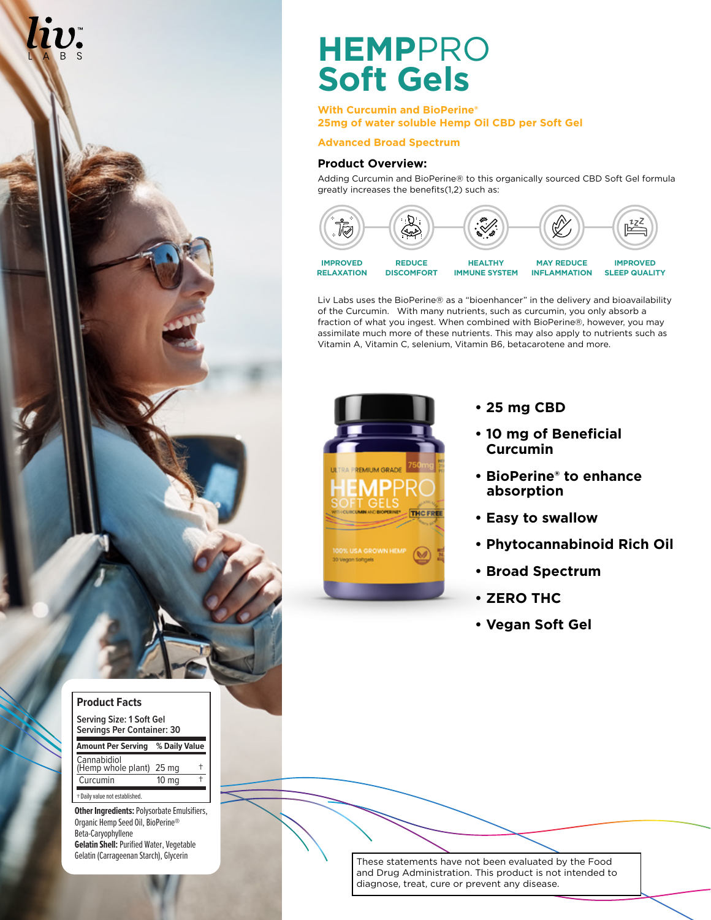

## **Product Facts**

| Serving Size: 1 Soft Gel<br><b>Servings Per Container: 30</b> |                  |  |
|---------------------------------------------------------------|------------------|--|
| <b>Amount Per Serving</b>                                     | % Daily Value    |  |
| Cannabidiol<br>(Hemp whole plant)                             | 25 mg            |  |
| Curcumin                                                      | 10 <sub>mg</sub> |  |
| + Daily value not established.                                |                  |  |

**Other Ingredients:**Polysorbate Emulsifiers, Organic Hemp Seed Oil, BioPerine® Beta-Caryophyllene **Gelatin Shell:** Purified Water, Vegetable<br>Gelatin (Carrageenan Starch), Glycerin

## **HEMP**PRO **Soft Gels**

**With Curcumin and BioPerine® 25mg of water soluble Hemp Oil CBD per Soft Gel**

## **Advanced Broad Spectrum**

## **Product Overview:**

Adding Curcumin and BioPerine® to this organically sourced CBD Soft Gel formula greatly increases the benefits(1,2) such as:



Liv Labs uses the BioPerine® as a "bioenhancer" in the delivery and bioavailability of the Curcumin. With many nutrients, such as curcumin, you only absorb a fraction of what you ingest. When combined with BioPerine®, however, you may assimilate much more of these nutrients. This may also apply to nutrients such as Vitamin A, Vitamin C, selenium, Vitamin B6, betacarotene and more.



- **25 mg CBD**
- **10 mg of Beneficial Curcumin**
- **BioPerine® to enhance absorption**
- **Easy to swallow**
- **Phytocannabinoid Rich Oil**
- **Broad Spectrum**
- **ZERO THC**
- **Vegan Soft Gel**

These statements have not been evaluated by the Food and Drug Administration. This product is not intended to diagnose, treat, cure or prevent any disease.